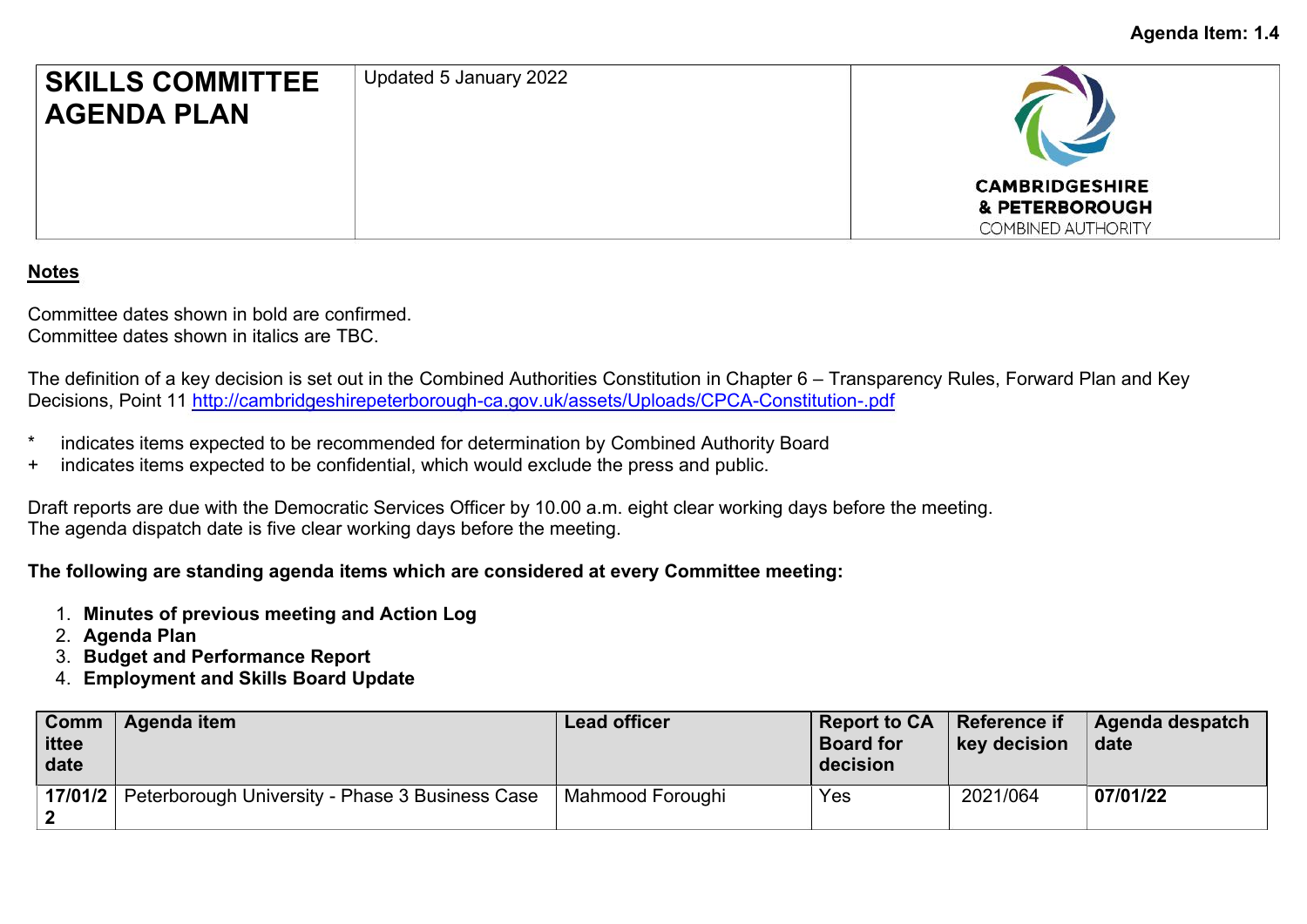

## **Notes**

Committee dates shown in bold are confirmed. Committee dates shown in italics are TBC.

The definition of a key decision is set out in the Combined Authorities Constitution in Chapter 6 – Transparency Rules, Forward Plan and Key Decisions, Point 11 <http://cambridgeshirepeterborough-ca.gov.uk/assets/Uploads/CPCA-Constitution-.pdf>

- indicates items expected to be recommended for determination by Combined Authority Board
- + indicates items expected to be confidential, which would exclude the press and public.

Draft reports are due with the Democratic Services Officer by 10.00 a.m. eight clear working days before the meeting. The agenda dispatch date is five clear working days before the meeting.

## **The following are standing agenda items which are considered at every Committee meeting:**

- 1. **Minutes of previous meeting and Action Log**
- 2. **Agenda Plan**
- 3. **Budget and Performance Report**
- 4. **Employment and Skills Board Update**

| Comm<br>ittee<br>date | Agenda item                                     | Lead officer     | Report to CA<br><b>Board for</b><br>decision | <b>Reference if</b><br>key decision | Agenda despatch<br>date |
|-----------------------|-------------------------------------------------|------------------|----------------------------------------------|-------------------------------------|-------------------------|
| 17/01/2               | Peterborough University - Phase 3 Business Case | Mahmood Foroughi | Yes                                          | 2021/064                            | 07/01/22                |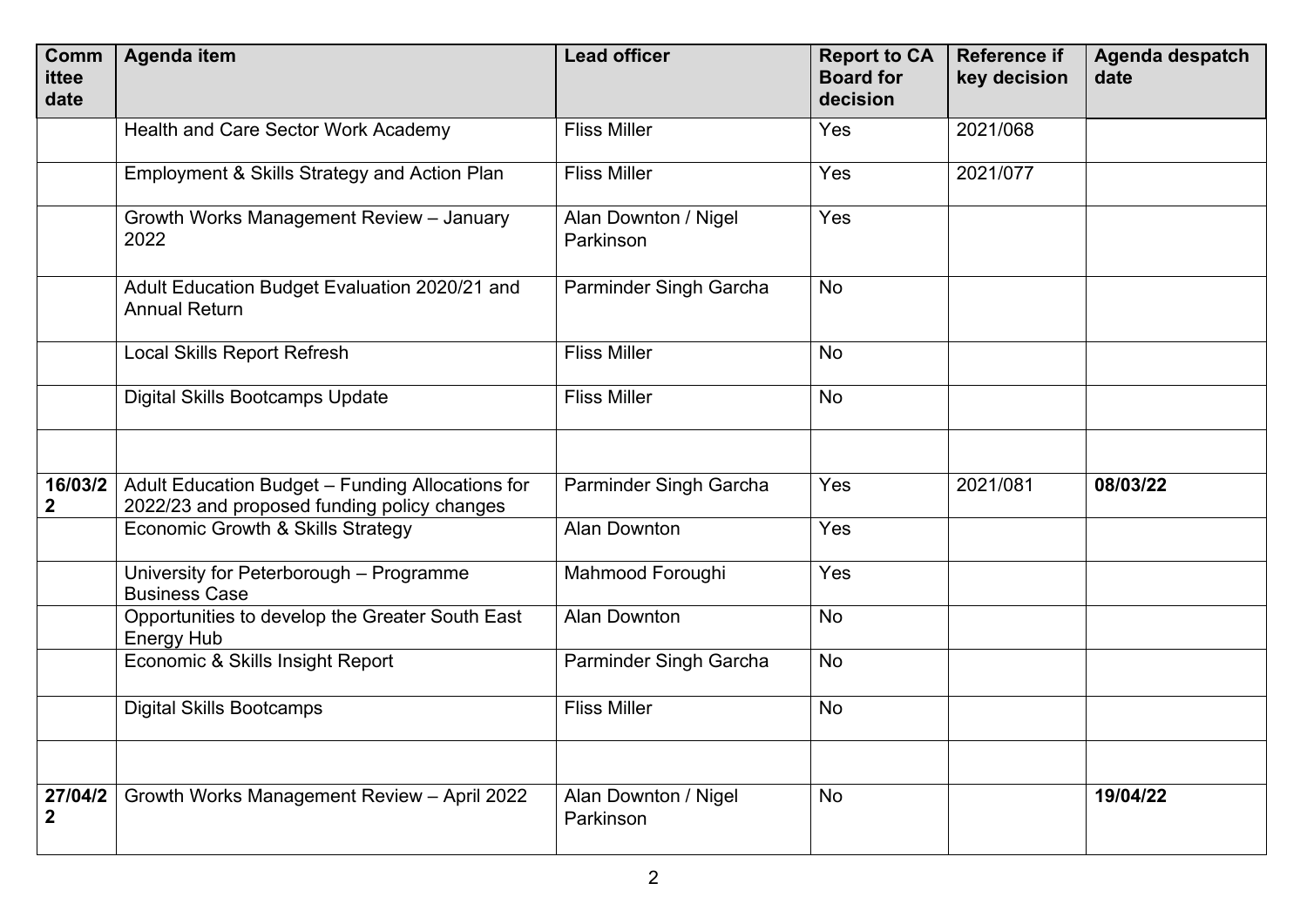| <b>Comm</b><br>ittee<br>date | <b>Agenda item</b>                                                                              | <b>Lead officer</b>               | <b>Report to CA</b><br><b>Board for</b><br>decision | <b>Reference if</b><br>key decision | Agenda despatch<br>date |
|------------------------------|-------------------------------------------------------------------------------------------------|-----------------------------------|-----------------------------------------------------|-------------------------------------|-------------------------|
|                              | Health and Care Sector Work Academy                                                             | <b>Fliss Miller</b>               | Yes                                                 | 2021/068                            |                         |
|                              | Employment & Skills Strategy and Action Plan                                                    | <b>Fliss Miller</b>               | Yes                                                 | 2021/077                            |                         |
|                              | Growth Works Management Review - January<br>2022                                                | Alan Downton / Nigel<br>Parkinson | Yes                                                 |                                     |                         |
|                              | Adult Education Budget Evaluation 2020/21 and<br><b>Annual Return</b>                           | Parminder Singh Garcha            | <b>No</b>                                           |                                     |                         |
|                              | <b>Local Skills Report Refresh</b>                                                              | <b>Fliss Miller</b>               | <b>No</b>                                           |                                     |                         |
|                              | <b>Digital Skills Bootcamps Update</b>                                                          | <b>Fliss Miller</b>               | No                                                  |                                     |                         |
|                              |                                                                                                 |                                   |                                                     |                                     |                         |
| 16/03/2<br>$\mathbf 2$       | Adult Education Budget - Funding Allocations for<br>2022/23 and proposed funding policy changes | Parminder Singh Garcha            | Yes                                                 | 2021/081                            | 08/03/22                |
|                              | Economic Growth & Skills Strategy                                                               | <b>Alan Downton</b>               | Yes                                                 |                                     |                         |
|                              | University for Peterborough - Programme<br><b>Business Case</b>                                 | Mahmood Foroughi                  | Yes                                                 |                                     |                         |
|                              | Opportunities to develop the Greater South East<br><b>Energy Hub</b>                            | <b>Alan Downton</b>               | <b>No</b>                                           |                                     |                         |
|                              | Economic & Skills Insight Report                                                                | Parminder Singh Garcha            | <b>No</b>                                           |                                     |                         |
|                              | <b>Digital Skills Bootcamps</b>                                                                 | <b>Fliss Miller</b>               | No                                                  |                                     |                         |
|                              |                                                                                                 |                                   |                                                     |                                     |                         |
| 27/04/2<br>$\mathbf{2}$      | Growth Works Management Review - April 2022                                                     | Alan Downton / Nigel<br>Parkinson | No                                                  |                                     | 19/04/22                |